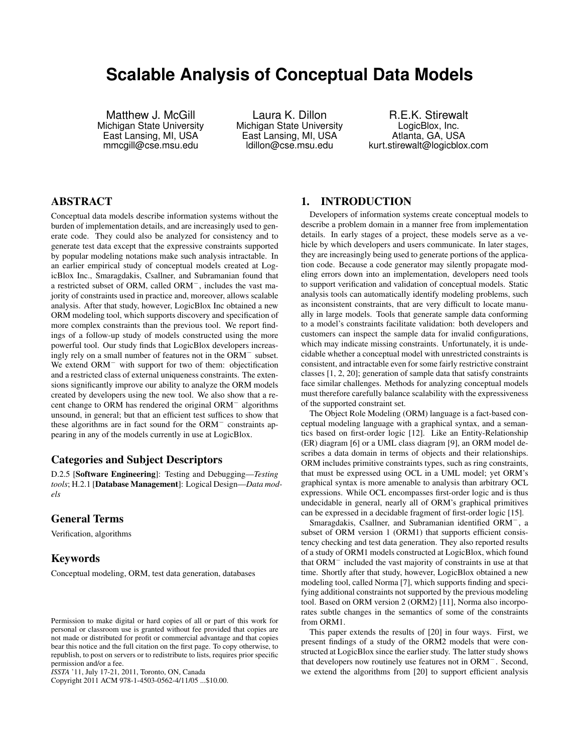# **Scalable Analysis of Conceptual Data Models**

Matthew J. McGill Michigan State University East Lansing, MI, USA mmcgill@cse.msu.edu

Laura K. Dillon Michigan State University East Lansing, MI, USA ldillon@cse.msu.edu

R.E.K. Stirewalt LogicBlox, Inc. Atlanta, GA, USA kurt.stirewalt@logicblox.com

# ABSTRACT

Conceptual data models describe information systems without the burden of implementation details, and are increasingly used to generate code. They could also be analyzed for consistency and to generate test data except that the expressive constraints supported by popular modeling notations make such analysis intractable. In an earlier empirical study of conceptual models created at LogicBlox Inc., Smaragdakis, Csallner, and Subramanian found that a restricted subset of ORM, called ORM<sup>−</sup>, includes the vast majority of constraints used in practice and, moreover, allows scalable analysis. After that study, however, LogicBlox Inc obtained a new ORM modeling tool, which supports discovery and specification of more complex constraints than the previous tool. We report findings of a follow-up study of models constructed using the more powerful tool. Our study finds that LogicBlox developers increasingly rely on a small number of features not in the ORM<sup>−</sup> subset. We extend ORM<sup>−</sup> with support for two of them: objectification and a restricted class of external uniqueness constraints. The extensions significantly improve our ability to analyze the ORM models created by developers using the new tool. We also show that a recent change to ORM has rendered the original ORM<sup>−</sup> algorithms unsound, in general; but that an efficient test suffices to show that these algorithms are in fact sound for the ORM<sup>−</sup> constraints appearing in any of the models currently in use at LogicBlox.

## Categories and Subject Descriptors

D.2.5 [Software Engineering]: Testing and Debugging—*Testing tools*; H.2.1 [Database Management]: Logical Design—*Data models*

#### General Terms

Verification, algorithms

#### Keywords

Conceptual modeling, ORM, test data generation, databases

Copyright 2011 ACM 978-1-4503-0562-4/11/05 ...\$10.00.

# 1. INTRODUCTION

Developers of information systems create conceptual models to describe a problem domain in a manner free from implementation details. In early stages of a project, these models serve as a vehicle by which developers and users communicate. In later stages, they are increasingly being used to generate portions of the application code. Because a code generator may silently propagate modeling errors down into an implementation, developers need tools to support verification and validation of conceptual models. Static analysis tools can automatically identify modeling problems, such as inconsistent constraints, that are very difficult to locate manually in large models. Tools that generate sample data conforming to a model's constraints facilitate validation: both developers and customers can inspect the sample data for invalid configurations, which may indicate missing constraints. Unfortunately, it is undecidable whether a conceptual model with unrestricted constraints is consistent, and intractable even for some fairly restrictive constraint classes [1, 2, 20]; generation of sample data that satisfy constraints face similar challenges. Methods for analyzing conceptual models must therefore carefully balance scalability with the expressiveness of the supported constraint set.

The Object Role Modeling (ORM) language is a fact-based conceptual modeling language with a graphical syntax, and a semantics based on first-order logic [12]. Like an Entity-Relationship (ER) diagram [6] or a UML class diagram [9], an ORM model describes a data domain in terms of objects and their relationships. ORM includes primitive constraints types, such as ring constraints, that must be expressed using OCL in a UML model; yet ORM's graphical syntax is more amenable to analysis than arbitrary OCL expressions. While OCL encompasses first-order logic and is thus undecidable in general, nearly all of ORM's graphical primitives can be expressed in a decidable fragment of first-order logic [15].

Smaragdakis, Csallner, and Subramanian identified ORM<sup>−</sup>, a subset of ORM version 1 (ORM1) that supports efficient consistency checking and test data generation. They also reported results of a study of ORM1 models constructed at LogicBlox, which found that ORM<sup>−</sup> included the vast majority of constraints in use at that time. Shortly after that study, however, LogicBlox obtained a new modeling tool, called Norma [7], which supports finding and specifying additional constraints not supported by the previous modeling tool. Based on ORM version 2 (ORM2) [11], Norma also incorporates subtle changes in the semantics of some of the constraints from ORM1.

This paper extends the results of [20] in four ways. First, we present findings of a study of the ORM2 models that were constructed at LogicBlox since the earlier study. The latter study shows that developers now routinely use features not in ORM<sup>−</sup>. Second, we extend the algorithms from [20] to support efficient analysis

Permission to make digital or hard copies of all or part of this work for personal or classroom use is granted without fee provided that copies are not made or distributed for profit or commercial advantage and that copies bear this notice and the full citation on the first page. To copy otherwise, to republish, to post on servers or to redistribute to lists, requires prior specific permission and/or a fee.

*ISSTA* '11, July 17-21, 2011, Toronto, ON, Canada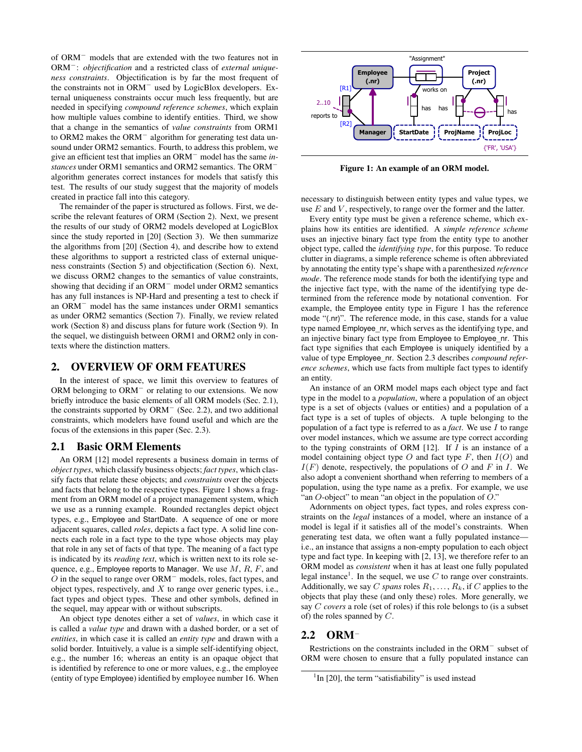of ORM<sup>−</sup> models that are extended with the two features not in ORM<sup>−</sup>: *objectification* and a restricted class of *external uniqueness constraints*. Objectification is by far the most frequent of the constraints not in ORM<sup>−</sup> used by LogicBlox developers. External uniqueness constraints occur much less frequently, but are needed in specifying *compound reference schemes*, which explain how multiple values combine to identify entities. Third, we show that a change in the semantics of *value constraints* from ORM1 to ORM2 makes the ORM<sup>−</sup> algorithm for generating test data unsound under ORM2 semantics. Fourth, to address this problem, we give an efficient test that implies an ORM<sup>−</sup> model has the same *instances* under ORM1 semantics and ORM2 semantics. The ORM<sup>−</sup> algorithm generates correct instances for models that satisfy this test. The results of our study suggest that the majority of models created in practice fall into this category.

The remainder of the paper is structured as follows. First, we describe the relevant features of ORM (Section 2). Next, we present the results of our study of ORM2 models developed at LogicBlox since the study reported in [20] (Section 3). We then summarize the algorithms from [20] (Section 4), and describe how to extend these algorithms to support a restricted class of external uniqueness constraints (Section 5) and objectification (Section 6). Next, we discuss ORM2 changes to the semantics of value constraints, showing that deciding if an ORM<sup>−</sup> model under ORM2 semantics has any full instances is NP-Hard and presenting a test to check if an ORM<sup>−</sup> model has the same instances under ORM1 semantics as under ORM2 semantics (Section 7). Finally, we review related work (Section 8) and discuss plans for future work (Section 9). In the sequel, we distinguish between ORM1 and ORM2 only in contexts where the distinction matters.

# 2. OVERVIEW OF ORM FEATURES

In the interest of space, we limit this overview to features of ORM belonging to ORM<sup>−</sup> or relating to our extensions. We now briefly introduce the basic elements of all ORM models (Sec. 2.1), the constraints supported by ORM<sup>−</sup> (Sec. 2.2), and two additional constraints, which modelers have found useful and which are the focus of the extensions in this paper (Sec. 2.3).

#### 2.1 Basic ORM Elements

An ORM [12] model represents a business domain in terms of *object types*, which classify business objects; *fact types*, which classify facts that relate these objects; and *constraints* over the objects and facts that belong to the respective types. Figure 1 shows a fragment from an ORM model of a project management system, which we use as a running example. Rounded rectangles depict object types, e.g., Employee and StartDate. A sequence of one or more adjacent squares, called *roles*, depicts a fact type. A solid line connects each role in a fact type to the type whose objects may play that role in any set of facts of that type. The meaning of a fact type is indicated by its *reading text*, which is written next to its role sequence, e.g., Employee reports to Manager. We use  $M, R, F$ , and O in the sequel to range over ORM<sup>−</sup> models, roles, fact types, and object types, respectively, and  $X$  to range over generic types, i.e., fact types and object types. These and other symbols, defined in the sequel, may appear with or without subscripts.

An object type denotes either a set of *values*, in which case it is called a *value type* and drawn with a dashed border, or a set of *entities*, in which case it is called an *entity type* and drawn with a solid border. Intuitively, a value is a simple self-identifying object, e.g., the number 16; whereas an entity is an opaque object that is identified by reference to one or more values, e.g., the employee (entity of type Employee) identified by employee number 16. When



Figure 1: An example of an ORM model.

necessary to distinguish between entity types and value types, we use  $E$  and  $V$ , respectively, to range over the former and the latter.

Every entity type must be given a reference scheme, which explains how its entities are identified. A *simple reference scheme* uses an injective binary fact type from the entity type to another object type, called the *identifying type*, for this purpose. To reduce clutter in diagrams, a simple reference scheme is often abbreviated by annotating the entity type's shape with a parenthesized *reference mode*. The reference mode stands for both the identifying type and the injective fact type, with the name of the identifying type determined from the reference mode by notational convention. For example, the Employee entity type in Figure 1 has the reference mode "(.nr)". The reference mode, in this case, stands for a value type named Employee nr, which serves as the identifying type, and an injective binary fact type from Employee to Employee\_nr. This fact type signifies that each Employee is uniquely identified by a value of type Employee\_nr. Section 2.3 describes *compound reference schemes*, which use facts from multiple fact types to identify an entity.

An instance of an ORM model maps each object type and fact type in the model to a *population*, where a population of an object type is a set of objects (values or entities) and a population of a fact type is a set of tuples of objects. A tuple belonging to the population of a fact type is referred to as a *fact*. We use I to range over model instances, which we assume are type correct according to the typing constraints of ORM  $[12]$ . If  $I$  is an instance of a model containing object type  $O$  and fact type  $F$ , then  $I(O)$  and  $I(F)$  denote, respectively, the populations of O and F in I. We also adopt a convenient shorthand when referring to members of a population, using the type name as a prefix. For example, we use 'an  $O$ -object'' to mean "an object in the population of  $O$ ."

Adornments on object types, fact types, and roles express constraints on the *legal* instances of a model, where an instance of a model is legal if it satisfies all of the model's constraints. When generating test data, we often want a fully populated instance i.e., an instance that assigns a non-empty population to each object type and fact type. In keeping with [2, 13], we therefore refer to an ORM model as *consistent* when it has at least one fully populated legal instance<sup>1</sup>. In the sequel, we use  $C$  to range over constraints. Additionally, we say C *spans* roles  $R_1, \ldots, R_k$ , if C applies to the objects that play these (and only these) roles. More generally, we say C *covers* a role (set of roles) if this role belongs to (is a subset of) the roles spanned by C.

#### 2.2 ORM<sup>−</sup>

Restrictions on the constraints included in the ORM<sup>−</sup> subset of ORM were chosen to ensure that a fully populated instance can

<sup>&</sup>lt;sup>1</sup>In [20], the term "satisfiability" is used instead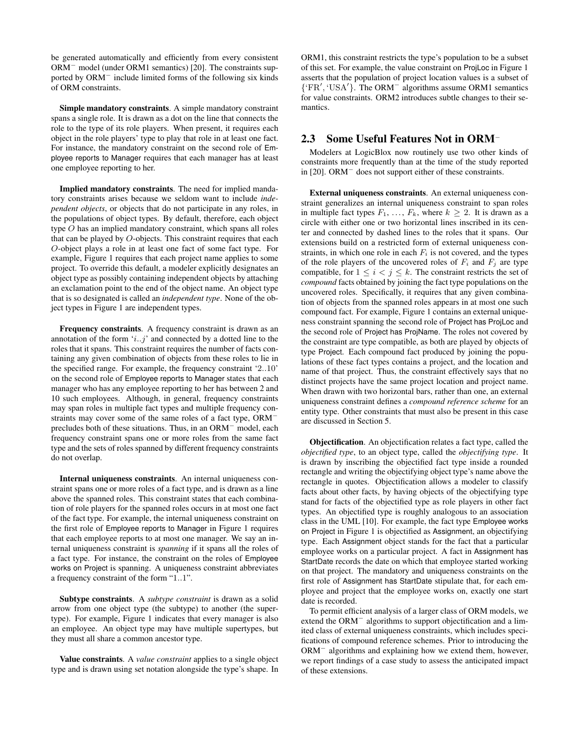be generated automatically and efficiently from every consistent ORM<sup>−</sup> model (under ORM1 semantics) [20]. The constraints supported by ORM<sup>−</sup> include limited forms of the following six kinds of ORM constraints.

Simple mandatory constraints. A simple mandatory constraint spans a single role. It is drawn as a dot on the line that connects the role to the type of its role players. When present, it requires each object in the role players' type to play that role in at least one fact. For instance, the mandatory constraint on the second role of Employee reports to Manager requires that each manager has at least one employee reporting to her.

Implied mandatory constraints. The need for implied mandatory constraints arises because we seldom want to include *independent objects*, or objects that do not participate in any roles, in the populations of object types. By default, therefore, each object type O has an implied mandatory constraint, which spans all roles that can be played by O-objects. This constraint requires that each O-object plays a role in at least one fact of some fact type. For example, Figure 1 requires that each project name applies to some project. To override this default, a modeler explicitly designates an object type as possibly containing independent objects by attaching an exclamation point to the end of the object name. An object type that is so designated is called an *independent type*. None of the object types in Figure 1 are independent types.

Frequency constraints. A frequency constraint is drawn as an annotation of the form  $'i..j'$  and connected by a dotted line to the roles that it spans. This constraint requires the number of facts containing any given combination of objects from these roles to lie in the specified range. For example, the frequency constraint '2..10' on the second role of Employee reports to Manager states that each manager who has any employee reporting to her has between 2 and 10 such employees. Although, in general, frequency constraints may span roles in multiple fact types and multiple frequency constraints may cover some of the same roles of a fact type, ORM<sup>−</sup> precludes both of these situations. Thus, in an ORM<sup>−</sup> model, each frequency constraint spans one or more roles from the same fact type and the sets of roles spanned by different frequency constraints do not overlap.

Internal uniqueness constraints. An internal uniqueness constraint spans one or more roles of a fact type, and is drawn as a line above the spanned roles. This constraint states that each combination of role players for the spanned roles occurs in at most one fact of the fact type. For example, the internal uniqueness constraint on the first role of Employee reports to Manager in Figure 1 requires that each employee reports to at most one manager. We say an internal uniqueness constraint is *spanning* if it spans all the roles of a fact type. For instance, the constraint on the roles of Employee works on Project is spanning. A uniqueness constraint abbreviates a frequency constraint of the form "1..1".

Subtype constraints. A *subtype constraint* is drawn as a solid arrow from one object type (the subtype) to another (the supertype). For example, Figure 1 indicates that every manager is also an employee. An object type may have multiple supertypes, but they must all share a common ancestor type.

Value constraints. A *value constraint* applies to a single object type and is drawn using set notation alongside the type's shape. In ORM1, this constraint restricts the type's population to be a subset of this set. For example, the value constraint on ProjLoc in Figure 1 asserts that the population of project location values is a subset of {'FR', 'USA'}. The ORM<sup>−</sup> algorithms assume ORM1 semantics for value constraints. ORM2 introduces subtle changes to their semantics.

#### 2.3 Some Useful Features Not in ORM<sup>−</sup>

Modelers at LogicBlox now routinely use two other kinds of constraints more frequently than at the time of the study reported in [20]. ORM<sup>−</sup> does not support either of these constraints.

External uniqueness constraints. An external uniqueness constraint generalizes an internal uniqueness constraint to span roles in multiple fact types  $F_1, \ldots, F_k$ , where  $k \geq 2$ . It is drawn as a circle with either one or two horizontal lines inscribed in its center and connected by dashed lines to the roles that it spans. Our extensions build on a restricted form of external uniqueness constraints, in which one role in each  $F_i$  is not covered, and the types of the role players of the uncovered roles of  $F_i$  and  $F_j$  are type compatible, for  $1 \leq i < j \leq k$ . The constraint restricts the set of *compound* facts obtained by joining the fact type populations on the uncovered roles. Specifically, it requires that any given combination of objects from the spanned roles appears in at most one such compound fact. For example, Figure 1 contains an external uniqueness constraint spanning the second role of Project has ProjLoc and the second role of Project has ProjName. The roles not covered by the constraint are type compatible, as both are played by objects of type Project. Each compound fact produced by joining the populations of these fact types contains a project, and the location and name of that project. Thus, the constraint effectively says that no distinct projects have the same project location and project name. When drawn with two horizontal bars, rather than one, an external uniqueness constraint defines a *compound reference scheme* for an entity type. Other constraints that must also be present in this case are discussed in Section 5.

Objectification. An objectification relates a fact type, called the *objectified type*, to an object type, called the *objectifying type*. It is drawn by inscribing the objectified fact type inside a rounded rectangle and writing the objectifying object type's name above the rectangle in quotes. Objectification allows a modeler to classify facts about other facts, by having objects of the objectifying type stand for facts of the objectified type as role players in other fact types. An objectified type is roughly analogous to an association class in the UML [10]. For example, the fact type Employee works on Project in Figure 1 is objectified as Assignment, an objectifying type. Each Assignment object stands for the fact that a particular employee works on a particular project. A fact in Assignment has StartDate records the date on which that employee started working on that project. The mandatory and uniqueness constraints on the first role of Assignment has StartDate stipulate that, for each employee and project that the employee works on, exactly one start date is recorded.

To permit efficient analysis of a larger class of ORM models, we extend the ORM<sup>−</sup> algorithms to support objectification and a limited class of external uniqueness constraints, which includes specifications of compound reference schemes. Prior to introducing the ORM<sup>−</sup> algorithms and explaining how we extend them, however, we report findings of a case study to assess the anticipated impact of these extensions.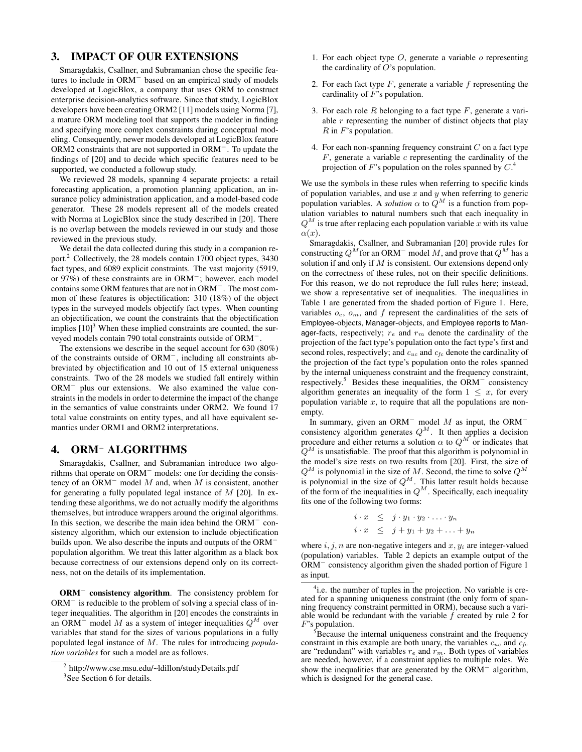# 3. IMPACT OF OUR EXTENSIONS

Smaragdakis, Csallner, and Subramanian chose the specific features to include in ORM<sup>−</sup> based on an empirical study of models developed at LogicBlox, a company that uses ORM to construct enterprise decision-analytics software. Since that study, LogicBlox developers have been creating ORM2 [11] models using Norma [7], a mature ORM modeling tool that supports the modeler in finding and specifying more complex constraints during conceptual modeling. Consequently, newer models developed at LogicBlox feature ORM2 constraints that are not supported in ORM<sup>−</sup>. To update the findings of [20] and to decide which specific features need to be supported, we conducted a followup study.

We reviewed 28 models, spanning 4 separate projects: a retail forecasting application, a promotion planning application, an insurance policy administration application, and a model-based code generator. These 28 models represent all of the models created with Norma at LogicBlox since the study described in [20]. There is no overlap between the models reviewed in our study and those reviewed in the previous study.

We detail the data collected during this study in a companion report.<sup>2</sup> Collectively, the 28 models contain 1700 object types, 3430 fact types, and 6089 explicit constraints. The vast majority (5919, or 97%) of these constraints are in ORM<sup>−</sup>; however, each model contains some ORM features that are not in ORM<sup>−</sup>. The most common of these features is objectification: 310 (18%) of the object types in the surveyed models objectify fact types. When counting an objectification, we count the constraints that the objectification implies  $[10]<sup>3</sup>$  When these implied constraints are counted, the surveyed models contain 790 total constraints outside of ORM<sup>−</sup>.

The extensions we describe in the sequel account for 630 (80%) of the constraints outside of ORM<sup>−</sup>, including all constraints abbreviated by objectification and 10 out of 15 external uniqueness constraints. Two of the 28 models we studied fall entirely within ORM<sup>−</sup> plus our extensions. We also examined the value constraints in the models in order to determine the impact of the change in the semantics of value constraints under ORM2. We found 17 total value constraints on entity types, and all have equivalent semantics under ORM1 and ORM2 interpretations.

# 4. ORM<sup>−</sup> ALGORITHMS

Smaragdakis, Csallner, and Subramanian introduce two algorithms that operate on ORM<sup>−</sup> models: one for deciding the consistency of an ORM<sup> $-$ </sup> model M and, when M is consistent, another for generating a fully populated legal instance of  $M$  [20]. In extending these algorithms, we do not actually modify the algorithms themselves, but introduce wrappers around the original algorithms. In this section, we describe the main idea behind the ORM<sup>−</sup> consistency algorithm, which our extension to include objectification builds upon. We also describe the inputs and outputs of the ORM<sup>−</sup> population algorithm. We treat this latter algorithm as a black box because correctness of our extensions depend only on its correctness, not on the details of its implementation.

ORM<sup>−</sup> consistency algorithm. The consistency problem for ORM<sup>−</sup> is reducible to the problem of solving a special class of integer inequalities. The algorithm in [20] encodes the constraints in an ORM<sup> $-$ </sup> model M as a system of integer inequalities  $Q^M$  over variables that stand for the sizes of various populations in a fully populated legal instance of M. The rules for introducing *population variables* for such a model are as follows.

- 1. For each object type  $O$ , generate a variable  $o$  representing the cardinality of  $O$ 's population.
- 2. For each fact type  $F$ , generate a variable  $f$  representing the cardinality of  $\overline{F}$ 's population.
- 3. For each role  $R$  belonging to a fact type  $F$ , generate a variable  $r$  representing the number of distinct objects that play  $R$  in  $F$ 's population.
- 4. For each non-spanning frequency constraint  $C$  on a fact type  $F$ , generate a variable  $c$  representing the cardinality of the projection of  $F$ 's population on the roles spanned by  $C^4$ .

We use the symbols in these rules when referring to specific kinds of population variables, and use  $x$  and  $y$  when referring to generic population variables. A *solution*  $\alpha$  to  $\tilde{Q}^M$  is a function from population variables to natural numbers such that each inequality in  $Q^M$  is true after replacing each population variable x with its value  $\alpha(x)$ .

Smaragdakis, Csallner, and Subramanian [20] provide rules for constructing  $Q^M$  for an ORM<sup>-</sup> model M, and prove that  $Q^M$  has a solution if and only if  $M$  is consistent. Our extensions depend only on the correctness of these rules, not on their specific definitions. For this reason, we do not reproduce the full rules here; instead, we show a representative set of inequalities. The inequalities in Table 1 are generated from the shaded portion of Figure 1. Here, variables  $o_e$ ,  $o_m$ , and f represent the cardinalities of the sets of Employee-objects, Manager-objects, and Employee reports to Manager-facts, respectively;  $r_e$  and  $r_m$  denote the cardinality of the projection of the fact type's population onto the fact type's first and second roles, respectively; and  $c_{uc}$  and  $c_{fc}$  denote the cardinality of the projection of the fact type's population onto the roles spanned by the internal uniqueness constraint and the frequency constraint, respectively.<sup>5</sup> Besides these inequalities, the ORM<sup>−</sup> consistency algorithm generates an inequality of the form  $1 \leq x$ , for every population variable  $x$ , to require that all the populations are nonempty.

In summary, given an ORM<sup> $-$ </sup> model M as input, the ORM<sup> $-$ </sup> consistency algorithm generates  $Q^M$ . It then applies a decision procedure and either returns a solution  $\alpha$  to  $Q^M$  or indicates that  $Q^M$  is unsatisfiable. The proof that this algorithm is polynomial in the model's size rests on two results from [20]. First, the size of  $Q^M$  is polynomial in the size of M. Second, the time to solve  $Q^M$ is polynomial in the size of  $Q^M$ . This latter result holds because of the form of the inequalities in  $Q^M$ . Specifically, each inequality fits one of the following two forms:

> $i \cdot x \leq j \cdot y_1 \cdot y_2 \cdot \ldots \cdot y_n$  $i \cdot x \leq j + y_1 + y_2 + \ldots + y_n$

where  $i, j, n$  are non-negative integers and  $x, y_i$  are integer-valued (population) variables. Table 2 depicts an example output of the ORM<sup>−</sup> consistency algorithm given the shaded portion of Figure 1 as input.

<sup>2</sup> http://www.cse.msu.edu/~ldillon/studyDetails.pdf

<sup>&</sup>lt;sup>3</sup>See Section 6 for details.

<sup>&</sup>lt;sup>4</sup>i.e. the number of tuples in the projection. No variable is created for a spanning uniqueness constraint (the only form of spanning frequency constraint permitted in ORM), because such a variable would be redundant with the variable  $f$  created by rule 2 for F's population.

Because the internal uniqueness constraint and the frequency constraint in this example are both unary, the variables  $c_{uc}$  and  $c_{fc}$ are "redundant" with variables  $r_e$  and  $r_m$ . Both types of variables are needed, however, if a constraint applies to multiple roles. We show the inequalities that are generated by the ORM<sup>−</sup> algorithm, which is designed for the general case.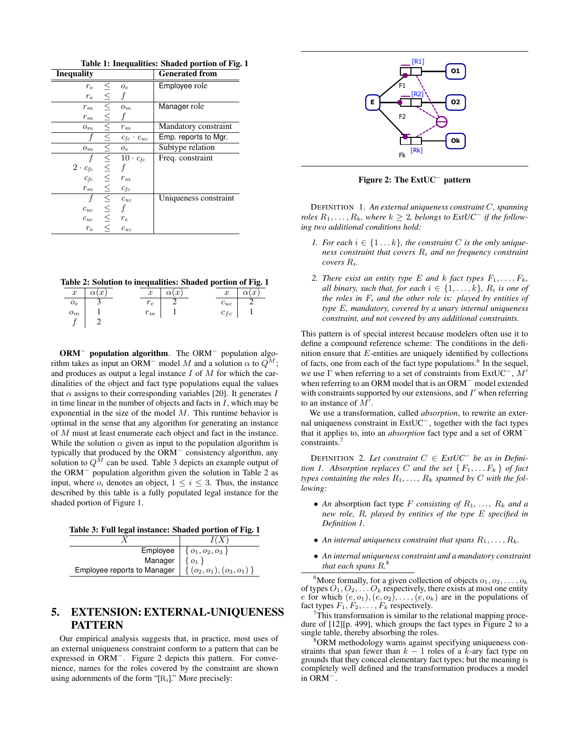| <b>Inequality</b>            |                         |                       | <b>Generated from</b> |
|------------------------------|-------------------------|-----------------------|-----------------------|
| $r_e$                        |                         | O <sub>e</sub>        | Employee role         |
| $r_e$                        |                         |                       |                       |
| $r_m$                        |                         | $O_m$                 | Manager role          |
| $r_m$                        |                         |                       |                       |
| $O_m$                        |                         | $r_{m}$               | Mandatory constraint  |
|                              |                         | $c_{fc} \cdot c_{uc}$ | Emp. reports to Mgr.  |
| $O_m$                        |                         | ${\mathcal O}e$       | Subtype relation      |
|                              |                         | $10 \cdot c_{fc}$     | Freq. constraint      |
|                              |                         |                       |                       |
|                              |                         |                       |                       |
| $2 \cdot c_{fc}$<br>$c_{fc}$ |                         | $r_{m}$               |                       |
| $r_m$                        |                         | $c_{fc}$              |                       |
|                              |                         | $c_{uc}$              | Uniqueness constraint |
| $c_{uc}$                     |                         |                       |                       |
| $c_{uc}$<br>$r_e$            | くこくニくニくニくニくこくこくこくこくこくこく | $r_{e}$<br>$c_{uc}$   |                       |

Table 1: Inequalities: Shaded portion of Fig. 1

|  |  | Table 2: Solution to inequalities: Shaded portion of Fig. 1 |  |  |
|--|--|-------------------------------------------------------------|--|--|
|  |  |                                                             |  |  |

| $\boldsymbol{x}$   | $\alpha(x)$ | $\boldsymbol{x}$ | $\alpha(x)$ | $\boldsymbol{x}$ | $\alpha(x)$ |
|--------------------|-------------|------------------|-------------|------------------|-------------|
| $o_e$              |             | $r_e$            |             | $c_{uc}$         |             |
| $o_m$ <sub>r</sub> |             | $r_m$            |             | $c_{fc}$         |             |
|                    |             |                  |             |                  |             |

ORM<sup>−</sup> population algorithm. The ORM<sup>−</sup> population algorithm takes as input an ORM<sup>-</sup> model M and a solution  $\alpha$  to  $Q^M$ ; and produces as output a legal instance  $I$  of  $M$  for which the cardinalities of the object and fact type populations equal the values that  $\alpha$  assigns to their corresponding variables [20]. It generates I in time linear in the number of objects and facts in  $I$ , which may be exponential in the size of the model  $M$ . This runtime behavior is optimal in the sense that any algorithm for generating an instance of M must at least enumerate each object and fact in the instance. While the solution  $\alpha$  given as input to the population algorithm is typically that produced by the ORM<sup>−</sup> consistency algorithm, any solution to  $Q^{\overline{M}}$  can be used. Table 3 depicts an example output of the ORM<sup>−</sup> population algorithm given the solution in Table 2 as input, where  $o_i$  denotes an object,  $1 \leq i \leq 3$ . Thus, the instance described by this table is a fully populated legal instance for the shaded portion of Figure 1.

Table 3: Full legal instance: Shaded portion of Fig. 1

|                             | Employee   $\{o_1, o_2, o_3\}$ |
|-----------------------------|--------------------------------|
| Manager                     | $^{\circ}$ $O_1$ .             |
| Employee reports to Manager | $\{(o_2,o_1),(o_3,o_1)\}\$     |

# 5. EXTENSION: EXTERNAL-UNIQUENESS **PATTERN**

Our empirical analysis suggests that, in practice, most uses of an external uniqueness constraint conform to a pattern that can be expressed in ORM<sup>−</sup>. Figure 2 depicts this pattern. For convenience, names for the roles covered by the constraint are shown using adornments of the form " $[R_i]$ ." More precisely:



Figure 2: The ExtUC<sup>−</sup> pattern

DEFINITION 1. *An external uniqueness constraint* C*, spanning roles*  $R_1, \ldots, R_k$ *, where*  $k \geq 2$ *, belongs to ExtUC<sup>* $-$ *</sup> if the following two additional conditions hold:*

- *1. For each*  $i \in \{1 \dots k\}$ , the constraint C is the only unique*ness constraint that covers* R<sup>i</sup> *and no frequency constraint covers* Ri*.*
- *2. There exist an entity type* E *and* k *fact types*  $F_1, \ldots, F_k$ , *all binary, such that, for each*  $i \in \{1, \ldots, k\}$ ,  $R_i$  *is one of the roles in* F<sup>i</sup> *and the other role is: played by entities of type* E*, mandatory, covered by a unary internal uniqueness constraint, and not covered by any additional constraints.*

This pattern is of special interest because modelers often use it to define a compound reference scheme: The conditions in the definition ensure that E-entities are uniquely identified by collections of facts, one from each of the fact type populations.<sup>6</sup> In the sequel, we use  $\Gamma$  when referring to a set of constraints from ExtUC<sup>-</sup>, M' when referring to an ORM model that is an ORM<sup>−</sup> model extended with constraints supported by our extensions, and  $I'$  when referring to an instance of  $M'$ .

We use a transformation, called *absorption*, to rewrite an external uniqueness constraint in ExtUC<sup>−</sup>, together with the fact types that it applies to, into an *absorption* fact type and a set of ORM<sup>−</sup> constraints.<sup>7</sup>

DEFINITION 2. *Let constraint* C ∈ *ExtUC*<sup>−</sup> *be as in Definition 1. Absorption replaces* C *and the set*  $\{F_1, \ldots F_k\}$  *of fact types containing the roles*  $R_1, \ldots, R_k$  *spanned by* C *with the following:*

- An absorption fact type F *consisting of*  $R_1, \ldots, R_k$  and a *new role,* R*, played by entities of the type* E *specified in Definition 1.*
- An internal uniqueness constraint that spans  $R_1, \ldots, R_k$ .
- *An internal uniqueness constraint and a mandatory constraint that each spans* R*.* 8

<sup>6</sup>More formally, for a given collection of objects  $o_1, o_2, \ldots, o_k$ of types  $O_1, O_2, \ldots O_k$  respectively, there exists at most one entity e for which  $(e, o_1), (e, o_2), \ldots, (e, o_k)$  are in the populations of fact types  $F_1, F_2, \ldots, F_k$  respectively.

<sup>7</sup>This transformation is similar to the relational mapping procedure of [12][p. 499], which groups the fact types in Figure 2 to a single table, thereby absorbing the roles.

<sup>8</sup>ORM methodology warns against specifying uniqueness constraints that span fewer than  $k - 1$  roles of a  $\bar{k}$ -ary fact type on grounds that they conceal elementary fact types; but the meaning is completely well defined and the transformation produces a model in ORM<sup>−</sup>.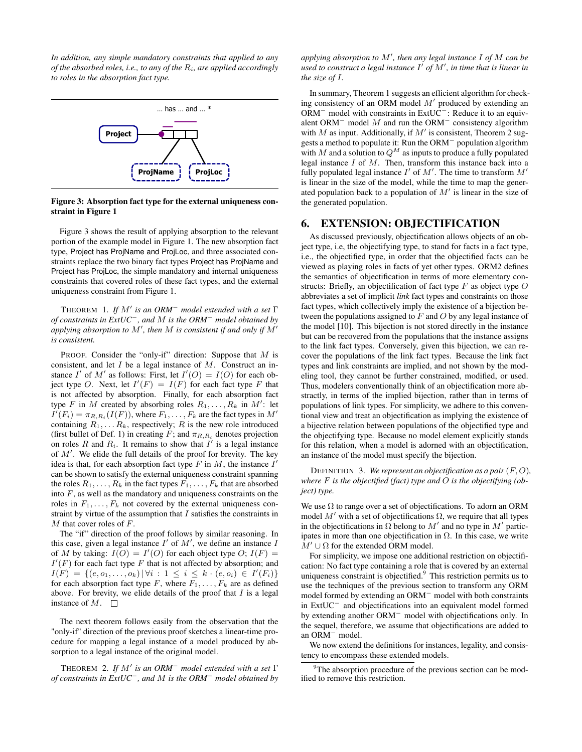*In addition, any simple mandatory constraints that applied to any of the absorbed roles, i.e., to any of the* Ri*, are applied accordingly to roles in the absorption fact type.*



Figure 3: Absorption fact type for the external uniqueness constraint in Figure 1

Figure 3 shows the result of applying absorption to the relevant portion of the example model in Figure 1. The new absorption fact type, Project has ProjName and ProjLoc, and three associated constraints replace the two binary fact types Project has ProjName and Project has ProjLoc, the simple mandatory and internal uniqueness constraints that covered roles of these fact types, and the external uniqueness constraint from Figure 1.

**THEOREM** 1. If  $M'$  is an ORM<sup> $-$ </sup> model extended with a set  $\Gamma$ *of constraints in ExtUC*<sup>−</sup>*, and* M *is the ORM*<sup>−</sup> *model obtained by* applying absorption to  $M'$ , then  $M$  is consistent if and only if  $M'$ *is consistent.*

PROOF. Consider the "only-if" direction: Suppose that M is consistent, and let  $I$  be a legal instance of  $M$ . Construct an instance I' of M' as follows: First, let  $I'(O) = I(O)$  for each object type O. Next, let  $I'(F) = I(F)$  for each fact type F that is not affected by absorption. Finally, for each absorption fact type F in M created by absorbing roles  $R_1, \ldots, R_k$  in M': let  $I^{'}(F_i) = \pi_{R,R_i}(I(F))$ , where  $F_1, \ldots, F_k$  are the fact types in  $M'$ containing  $R_1, \ldots, R_k$ , respectively; R is the new role introduced (first bullet of Def. 1) in creating  $F$ ; and  $\pi_{R,R_i}$  denotes projection on roles R and  $R_i$ . It remains to show that  $I'$  is a legal instance of  $M'$ . We elide the full details of the proof for brevity. The key idea is that, for each absorption fact type  $F$  in  $M$ , the instance  $I'$ can be shown to satisfy the external uniqueness constraint spanning the roles  $R_1, \ldots, R_k$  in the fact types  $F_1, \ldots, F_k$  that are absorbed into  $F$ , as well as the mandatory and uniqueness constraints on the roles in  $F_1, \ldots, F_k$  not covered by the external uniqueness constraint by virtue of the assumption that  $I$  satisfies the constraints in  $M$  that cover roles of  $F$ .

The "if" direction of the proof follows by similar reasoning. In this case, given a legal instance  $I'$  of  $M'$ , we define an instance  $I$ of M by taking:  $I(O) = I'(O)$  for each object type O;  $I(F) =$  $I'(F)$  for each fact type F that is not affected by absorption; and  $I(F) = \{(e, o_1, \ldots, o_k) | \forall i : 1 \leq i \leq k \cdot (e, o_i) \in I'(F_i)\}\$ for each absorption fact type F, where  $F_1, \ldots, F_k$  are as defined above. For brevity, we elide details of the proof that  $I$  is a legal instance of  $M$ .  $\square$ 

The next theorem follows easily from the observation that the "only-if" direction of the previous proof sketches a linear-time procedure for mapping a legal instance of a model produced by absorption to a legal instance of the original model.

**THEOREM** 2. If  $M'$  is an ORM<sup> $-$ </sup> model extended with a set  $\Gamma$ *of constraints in ExtUC*<sup>−</sup>*, and* M *is the ORM*<sup>−</sup> *model obtained by*

*applying absorption to* M<sup>0</sup> *, then any legal instance* I *of* M *can be* used to construct a legal instance I' of  $M'$ , in time that is linear in *the size of* I*.*

In summary, Theorem 1 suggests an efficient algorithm for checking consistency of an ORM model  $M'$  produced by extending an ORM<sup>−</sup> model with constraints in ExtUC<sup>−</sup>: Reduce it to an equivalent ORM<sup>−</sup> model M and run the ORM<sup>−</sup> consistency algorithm with M as input. Additionally, if  $M'$  is consistent, Theorem 2 suggests a method to populate it: Run the ORM<sup>−</sup> population algorithm with M and a solution to  $Q^M$  as inputs to produce a fully populated legal instance  $I$  of  $M$ . Then, transform this instance back into a fully populated legal instance  $I'$  of  $M'$ . The time to transform  $M'$ is linear in the size of the model, while the time to map the generated population back to a population of  $M'$  is linear in the size of the generated population.

# 6. EXTENSION: OBJECTIFICATION

As discussed previously, objectification allows objects of an object type, i.e, the objectifying type, to stand for facts in a fact type, i.e., the objectified type, in order that the objectified facts can be viewed as playing roles in facts of yet other types. ORM2 defines the semantics of objectification in terms of more elementary constructs: Briefly, an objectification of fact type  $F$  as object type  $O$ abbreviates a set of implicit *link* fact types and constraints on those fact types, which collectively imply the existence of a bijection between the populations assigned to  $F$  and  $O$  by any legal instance of the model [10]. This bijection is not stored directly in the instance but can be recovered from the populations that the instance assigns to the link fact types. Conversely, given this bijection, we can recover the populations of the link fact types. Because the link fact types and link constraints are implied, and not shown by the modeling tool, they cannot be further constrained, modified, or used. Thus, modelers conventionally think of an objectification more abstractly, in terms of the implied bijection, rather than in terms of populations of link types. For simplicity, we adhere to this conventional view and treat an objectification as implying the existence of a bijective relation between populations of the objectified type and the objectifying type. Because no model element explicitly stands for this relation, when a model is adorned with an objectification, an instance of the model must specify the bijection.

DEFINITION 3. *We represent an objectification as a pair*(F, O)*, where* F *is the objectified (fact) type and* O *is the objectifying (object) type.*

We use  $\Omega$  to range over a set of objectifications. To adorn an ORM model M' with a set of objectifications  $\Omega$ , we require that all types in the objectifications in  $\Omega$  belong to  $M'$  and no type in  $M'$  participates in more than one objectification in  $\Omega$ . In this case, we write  $M' \cup \Omega$  for the extended ORM model.

For simplicity, we impose one additional restriction on objectification: No fact type containing a role that is covered by an external uniqueness constraint is objectified.<sup>9</sup> This restriction permits us to use the techniques of the previous section to transform any ORM model formed by extending an ORM<sup>−</sup> model with both constraints in ExtUC<sup>−</sup> and objectifications into an equivalent model formed by extending another ORM<sup>−</sup> model with objectifications only. In the sequel, therefore, we assume that objectifications are added to an ORM<sup>−</sup> model.

We now extend the definitions for instances, legality, and consistency to encompass these extended models.

<sup>&</sup>lt;sup>9</sup>The absorption procedure of the previous section can be modified to remove this restriction.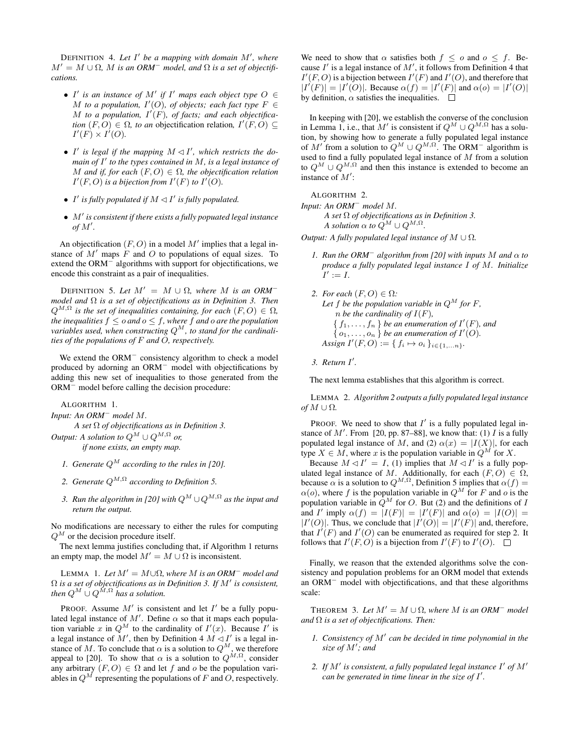DEFINITION 4. Let I' be a mapping with domain M', where  $M' = M \cup \Omega$ , M is an ORM<sup>-</sup> model, and  $\Omega$  is a set of objectifi*cations.*

- $I'$  is an instance of  $M'$  if  $I'$  maps each object type  $O \in$ M to a population,  $I'(O)$ , of objects; each fact type  $F \in$  $M$  to a population,  $I'(F)$ , of facts; and each objectifica*tion*  $(F, O) \in \Omega$ , *to an* objectification relation,  $I'(F, O) \subseteq$  $I'(F) \times I'(O)$ .
- $I'$  is legal if the mapping  $M \lhd I'$ , which restricts the do*main of* I 0 *to the types contained in* M*, is a legal instance of* M and if, for each  $(F, O) \in \Omega$ , the objectification relation  $I'(F, O)$  *is a bijection from*  $I'(F)$  *to*  $I'(O)$ *.*
- $I'$  is fully populated if  $M \lhd I'$  is fully populated.
- $\bullet$   $M'$  is consistent if there exists a fully popuated legal instance  $of M'.$

An objectification  $(F, O)$  in a model  $M'$  implies that a legal instance of  $M'$  maps F and O to populations of equal sizes. To extend the ORM<sup>−</sup> algorithms with support for objectifications, we encode this constraint as a pair of inequalities.

DEFINITION 5. Let  $M' = M \cup \Omega$ , where M is an ORM<sup>-</sup> *model and* Ω *is a set of objectifications as in Definition 3. Then*  $Q^{M,\Omega}$  is the set of inequalities containing, for each  $(F, O) \in \Omega$ , *the inequalities*  $f \leq o$  *and*  $o \leq f$ *, where*  $f$  *and*  $o$  *are the population variables used, when constructing* Q <sup>M</sup>*, to stand for the cardinalities of the populations of* F *and* O*, respectively.*

We extend the ORM<sup>−</sup> consistency algorithm to check a model produced by adorning an ORM<sup>−</sup> model with objectifications by adding this new set of inequalities to those generated from the ORM<sup>−</sup> model before calling the decision procedure:

ALGORITHM 1.

*Input: An ORM*<sup>−</sup> *model* M*.*

*A set* Ω *of objectifications as in Definition 3.*

*Output: A solution to*  $Q^M \cup Q^{M,\Omega}$  or, *if none exists, an empty map.*

1. Generate  $Q^M$  according to the rules in [20].

- 
- 2. Generate  $Q^{M,\Omega}$  according to Definition 5.
- 3. Run the algorithm in [20] with  $Q^M\cup Q^{M,\Omega}$  as the input and *return the output.*

No modifications are necessary to either the rules for computing  $Q^M$  or the decision procedure itself.

The next lemma justifies concluding that, if Algorithm 1 returns an empty map, the model  $M' = M \cup \Omega$  is inconsistent.

LEMMA 1. Let  $M' = M \cup \Omega$ , where M is an ORM<sup>-</sup> model and  $\Omega$  *is a set of objectifications as in Definition 3. If*  $M'$  *is consistent,* then  $Q^M \cup Q^{M,\Omega}$  has a solution.

PROOF. Assume  $M'$  is consistent and let  $I'$  be a fully populated legal instance of M'. Define  $\alpha$  so that it maps each population variable x in  $Q^M$  to the cardinality of  $I'(x)$ . Because I' is a legal instance of M', then by Definition 4  $M \triangleleft I'$  is a legal instance of M. To conclude that  $\alpha$  is a solution to  $Q^M$ , we therefore appeal to [20]. To show that  $\alpha$  is a solution to  $Q^{M,\Omega}$ , consider any arbitrary  $(F, O) \in \Omega$  and let f and o be the population variables in  $Q^M$  representing the populations of F and O, respectively. We need to show that  $\alpha$  satisfies both  $f \leq o$  and  $o \leq f$ . Because  $I'$  is a legal instance of  $M'$ , it follows from Definition 4 that  $I'(F, O)$  is a bijection between  $I'(F)$  and  $I'(O)$ , and therefore that  $|I'(F)| = |I'(O)|$ . Because  $\alpha(f) = |I'(F)|$  and  $\alpha(o) = |I'(O)|$ by definition,  $\alpha$  satisfies the inequalities.  $\Box$ 

In keeping with [20], we establish the converse of the conclusion in Lemma 1, i.e., that M' is consistent if  $Q^M \cup Q^{M,\Omega}$  has a solution, by showing how to generate a fully populated legal instance of M' from a solution to  $Q^M \cup Q^{M,\Omega}$ . The ORM<sup>-</sup> algorithm is used to find a fully populated legal instance of M from a solution to  $Q^M \cup Q^{M,\Omega}$  and then this instance is extended to become an instance of  $M'$ :

ALGORITHM 2.

*Input: An ORM*<sup>−</sup> *model* M*. A set* Ω *of objectifications as in Definition 3. A solution*  $\alpha$  *to*  $Q^M \cup Q^{M,\Omega}$ .

*Output: A fully populated legal instance of*  $M \cup \Omega$ *.* 

- *1. Run the ORM*<sup>−</sup> *algorithm from [20] with inputs* M *and* α *to produce a fully populated legal instance* I *of* M*. Initialize*  $I' := I.$
- *2. For each*  $(F, O) \in \Omega$ *:* Let  $f$  be the population variable in  $Q^M$  for  $F$ , *n be the cardinality of*  $I(F)$ *,*  $\{f_1, \ldots, f_n\}$  be an enumeration of  $I'(F)$ , and  $\{o_1, \ldots, o_n\}$  be an enumeration of  $I'(O)$ . *Assign*  $I'(F, O) := \{ f_i \mapsto o_i \}_{i \in \{1, \dots, n\}}.$

*3. Return* I 0 *.*

The next lemma establishes that this algorithm is correct.

LEMMA 2. *Algorithm 2 outputs a fully populated legal instance*  $of M \cup \Omega$ .

PROOF. We need to show that  $I'$  is a fully populated legal instance of  $M'$ . From [20, pp. 87–88], we know that: (1) I is a fully populated legal instance of M, and (2)  $\alpha(x) = |I(X)|$ , for each type  $X \in M$ , where x is the population variable in  $Q^M$  for X.

Because  $M \lhd I' = I$ , (1) implies that  $M \lhd I'$  is a fully populated legal instance of M. Additionally, for each  $(F, O) \in \Omega$ , because  $\alpha$  is a solution to  $Q^{M,\Omega}$ , Definition 5 implies that  $\alpha(f)$  =  $\alpha(o)$ , where f is the population variable in  $Q^M$  for F and o is the population variable in  $Q^M$  for O. But (2) and the definitions of I and I' imply  $\alpha(f) = |I(F)| = |I'(F)|$  and  $\alpha(o) = |I(O)| =$  $|I'(O)|$ . Thus, we conclude that  $|I'(O)| = |I'(F)|$  and, therefore, that  $I'(F)$  and  $I'(O)$  can be enumerated as required for step 2. It follows that  $I'(F, O)$  is a bijection from  $I'(F)$  to  $I'(O)$ .

Finally, we reason that the extended algorithms solve the consistency and population problems for an ORM model that extends an ORM<sup>−</sup> model with objectifications, and that these algorithms scale:

THEOREM 3. Let  $M' = M \cup \Omega$ , where M is an ORM<sup>-</sup> model *and* Ω *is a set of objectifications. Then:*

- *1. Consistency of M' can be decided in time polynomial in the* size of  $M'$ ; and
- 2. If  $M'$  is consistent, a fully populated legal instance  $I'$  of  $M'$ can be generated in time linear in the size of I'.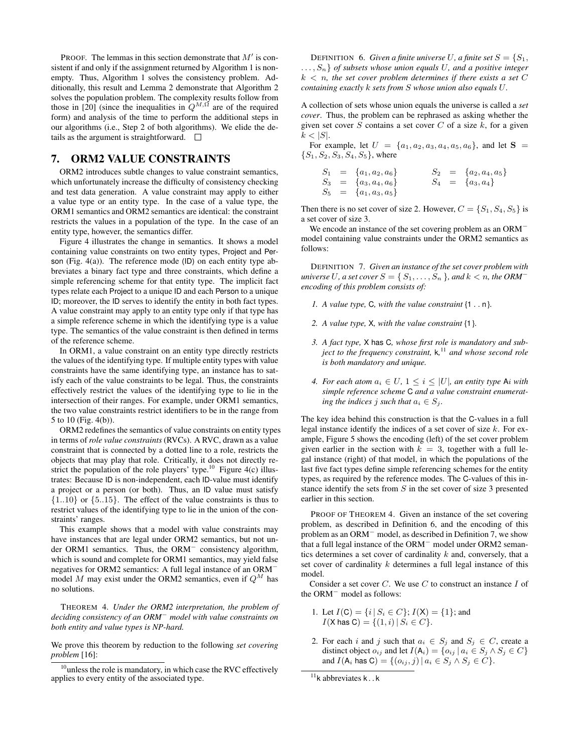PROOF. The lemmas in this section demonstrate that  $M'$  is consistent if and only if the assignment returned by Algorithm 1 is nonempty. Thus, Algorithm 1 solves the consistency problem. Additionally, this result and Lemma 2 demonstrate that Algorithm 2 solves the population problem. The complexity results follow from those in [20] (since the inequalities in  $Q^{M,\Omega}$  are of the required form) and analysis of the time to perform the additional steps in our algorithms (i.e., Step 2 of both algorithms). We elide the details as the argument is straightforward.  $\Box$ 

#### 7. ORM2 VALUE CONSTRAINTS

ORM2 introduces subtle changes to value constraint semantics, which unfortunately increase the difficulty of consistency checking and test data generation. A value constraint may apply to either a value type or an entity type. In the case of a value type, the ORM1 semantics and ORM2 semantics are identical: the constraint restricts the values in a population of the type. In the case of an entity type, however, the semantics differ.

Figure 4 illustrates the change in semantics. It shows a model containing value constraints on two entity types, Project and Person (Fig. 4(a)). The reference mode (ID) on each entity type abbreviates a binary fact type and three constraints, which define a simple referencing scheme for that entity type. The implicit fact types relate each Project to a unique ID and each Person to a unique ID; moreover, the ID serves to identify the entity in both fact types. A value constraint may apply to an entity type only if that type has a simple reference scheme in which the identifying type is a value type. The semantics of the value constraint is then defined in terms of the reference scheme.

In ORM1, a value constraint on an entity type directly restricts the values of the identifying type. If multiple entity types with value constraints have the same identifying type, an instance has to satisfy each of the value constraints to be legal. Thus, the constraints effectively restrict the values of the identifying type to lie in the intersection of their ranges. For example, under ORM1 semantics, the two value constraints restrict identifiers to be in the range from 5 to 10 (Fig. 4(b)).

ORM2 redefines the semantics of value constraints on entity types in terms of *role value constraints* (RVCs). A RVC, drawn as a value constraint that is connected by a dotted line to a role, restricts the objects that may play that role. Critically, it does not directly restrict the population of the role players' type.<sup>10</sup> Figure 4(c) illustrates: Because ID is non-independent, each ID-value must identify a project or a person (or both). Thus, an ID value must satisfy  ${1..10}$  or  ${5..15}$ . The effect of the value constraints is thus to restrict values of the identifying type to lie in the union of the constraints' ranges.

This example shows that a model with value constraints may have instances that are legal under ORM2 semantics, but not under ORM1 semantics. Thus, the ORM<sup>−</sup> consistency algorithm, which is sound and complete for ORM1 semantics, may yield false negatives for ORM2 semantics: A full legal instance of an ORM<sup>−</sup> model M may exist under the ORM2 semantics, even if  $Q^M$  has no solutions.

THEOREM 4. *Under the ORM2 interpretation, the problem of deciding consistency of an ORM*<sup>−</sup> *model with value constraints on both entity and value types is NP-hard.*

We prove this theorem by reduction to the following *set covering problem* [16]:

DEFINITION 6. *Given a finite universe U*, *a finite set*  $S = \{S_1, S_2, \ldots, S_m\}$ . . . , Sn} *of subsets whose union equals* U*, and a positive integer*  $k < n$ , the set cover problem determines if there exists a set  $C$ *containing exactly* k *sets from* S *whose union also equals* U*.*

A collection of sets whose union equals the universe is called a *set cover*. Thus, the problem can be rephrased as asking whether the given set cover  $S$  contains a set cover  $C$  of a size  $k$ , for a given  $k < |S|$ .

For example, let  $U = \{a_1, a_2, a_3, a_4, a_5, a_6\}$ , and let  $S =$  ${S_1, S_2, S_3, S_4, S_5}$ , where

$$
S_1 = \{a_1, a_2, a_6\}
$$
  
\n
$$
S_3 = \{a_3, a_4, a_6\}
$$
  
\n
$$
S_4 = \{a_3, a_4\}
$$
  
\n
$$
S_5 = \{a_1, a_3, a_5\}
$$
  
\n
$$
S_6 = \{a_1, a_3, a_5\}
$$

Then there is no set cover of size 2. However,  $C = \{S_1, S_4, S_5\}$  is a set cover of size 3.

We encode an instance of the set covering problem as an ORM<sup>−</sup> model containing value constraints under the ORM2 semantics as follows:

DEFINITION 7. *Given an instance of the set cover problem with universe* U, a set cover  $S = \{S_1, \ldots, S_n\}$ , and  $k < n$ , the ORM<sup>−</sup> *encoding of this problem consists of:*

- *1. A value type,* C*, with the value constraint* {1 . . n }*.*
- *2. A value type,* X*, with the value constraint* {1 }*.*
- *3. A fact type,* X has C*, whose first role is mandatory and subject to the frequency constraint,* k*,* <sup>11</sup> *and whose second role is both mandatory and unique.*
- *4. For each atom*  $a_i \in U$ ,  $1 \leq i \leq |U|$ *, an entity type Ai with simple reference scheme* C *and a value constraint enumerating the indices j such that*  $a_i \in S_i$ *.*

The key idea behind this construction is that the C-values in a full legal instance identify the indices of a set cover of size  $k$ . For example, Figure 5 shows the encoding (left) of the set cover problem given earlier in the section with  $k = 3$ , together with a full legal instance (right) of that model, in which the populations of the last five fact types define simple referencing schemes for the entity types, as required by the reference modes. The C-values of this instance identify the sets from  $S$  in the set cover of size 3 presented earlier in this section.

PROOF OF THEOREM 4. Given an instance of the set covering problem, as described in Definition 6, and the encoding of this problem as an ORM<sup>−</sup> model, as described in Definition 7, we show that a full legal instance of the ORM<sup>−</sup> model under ORM2 semantics determines a set cover of cardinality  $k$  and, conversely, that a set cover of cardinality  $k$  determines a full legal instance of this model.

Consider a set cover  $C$ . We use  $C$  to construct an instance  $I$  of the ORM<sup>−</sup> model as follows:

- 1. Let  $I(\mathsf{C}) = \{i \mid S_i \in C\}; I(\mathsf{X}) = \{1\};$  and  $I(X \text{ has } C) = \{(1, i) | S_i \in C\}.$
- 2. For each i and j such that  $a_i \in S_i$  and  $S_i \in C$ , create a distinct object  $o_{ij}$  and let  $I(A_i) = \{o_{ij} | a_i \in S_j \land S_j \in C\}$ and  $I(A_i \text{ has } C) = \{(o_{ij}, j) | a_i \in S_j \land S_j \in C\}.$

 $10$ unless the role is mandatory, in which case the RVC effectively applies to every entity of the associated type.

 $11$ k abbreviates k..k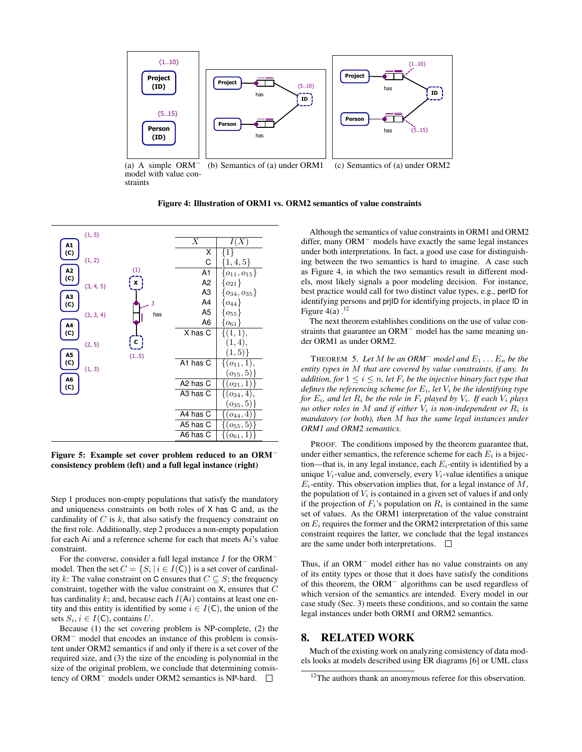

(a) A simple ORM<sup>−</sup> model with value constraints (b) Semantics of (a) under ORM1 (c) Semantics of (a) under ORM2

Figure 4: Illustration of ORM1 vs. ORM2 semantics of value constraints



Figure 5: Example set cover problem reduced to an ORM<sup>−</sup> consistency problem (left) and a full legal instance (right)

Step 1 produces non-empty populations that satisfy the mandatory and uniqueness constraints on both roles of X has C and, as the cardinality of  $C$  is  $k$ , that also satisfy the frequency constraint on the first role. Additionally, step 2 produces a non-empty population for each Ai and a reference scheme for each that meets Ai's value constraint.

For the converse, consider a full legal instance I for the ORM<sup>−</sup> model. Then the set  $C = \{S_i | i \in I(\mathsf{C})\}$  is a set cover of cardinality k: The value constraint on C ensures that  $C \subseteq S$ ; the frequency constraint, together with the value constraint on X, ensures that C has cardinality k; and, because each  $I(A_i)$  contains at least one entity and this entity is identified by some  $i \in I(\mathsf{C})$ , the union of the sets  $S_i$ ,  $i \in I(\mathsf{C})$ , contains U.

Because (1) the set covering problem is NP-complete, (2) the ORM<sup>−</sup> model that encodes an instance of this problem is consistent under ORM2 semantics if and only if there is a set cover of the required size, and (3) the size of the encoding is polynomial in the size of the original problem, we conclude that determining consistency of ORM<sup>−</sup> models under ORM2 semantics is NP-hard.  $\Box$ 

Although the semantics of value constraints in ORM1 and ORM2 differ, many ORM<sup>−</sup> models have exactly the same legal instances under both interpretations. In fact, a good use case for distinguishing between the two semantics is hard to imagine. A case such as Figure 4, in which the two semantics result in different models, most likely signals a poor modeling decision. For instance, best practice would call for two distinct value types, e.g., perID for identifying persons and prjID for identifying projects, in place ID in Figure  $4(a)$ .<sup>12</sup>

The next theorem establishes conditions on the use of value constraints that guarantee an ORM<sup>−</sup> model has the same meaning under ORM1 as under ORM2.

THEOREM 5. Let  $M$  be an ORM<sup> $-$ </sup> model and  $E_1 \ldots E_n$  be the *entity types in* M *that are covered by value constraints, if any. In addition, for*  $1 \leq i \leq n$ *, let*  $F_i$  *be the injective binary fact type that defines the referencing scheme for* Ei*, let* V<sup>i</sup> *be the identifying type for*  $E_i$ *, and let*  $R_i$  *be the role in*  $F_i$  *played by*  $V_i$ *. If each*  $V_i$  *plays no other roles in*  $M$  *and if either*  $V_i$  *is non-independent or*  $R_i$  *is mandatory (or both), then* M *has the same legal instances under ORM1 and ORM2 semantics.*

PROOF. The conditions imposed by the theorem guarantee that, under either semantics, the reference scheme for each  $E_i$  is a bijection—that is, in any legal instance, each  $E_i$ -entity is identified by a unique  $V_i$ -value and, conversely, every  $V_i$ -value identifies a unique  $E_i$ -entity. This observation implies that, for a legal instance of  $M$ , the population of  $V_i$  is contained in a given set of values if and only if the projection of  $F_i$ 's population on  $R_i$  is contained in the same set of values. As the ORM1 interpretation of the value constraint on  $E_i$  requires the former and the ORM2 interpretation of this same constraint requires the latter, we conclude that the legal instances are the same under both interpretations.

Thus, if an ORM<sup>−</sup> model either has no value constraints on any of its entity types or those that it does have satisfy the conditions of this theorem, the ORM<sup>−</sup> algorithms can be used regardless of which version of the semantics are intended. Every model in our case study (Sec. 3) meets these conditions, and so contain the same legal instances under both ORM1 and ORM2 semantics.

# 8. RELATED WORK

Much of the existing work on analyzing consistency of data models looks at models described using ER diagrams [6] or UML class

<sup>&</sup>lt;sup>12</sup>The authors thank an anonymous referee for this observation.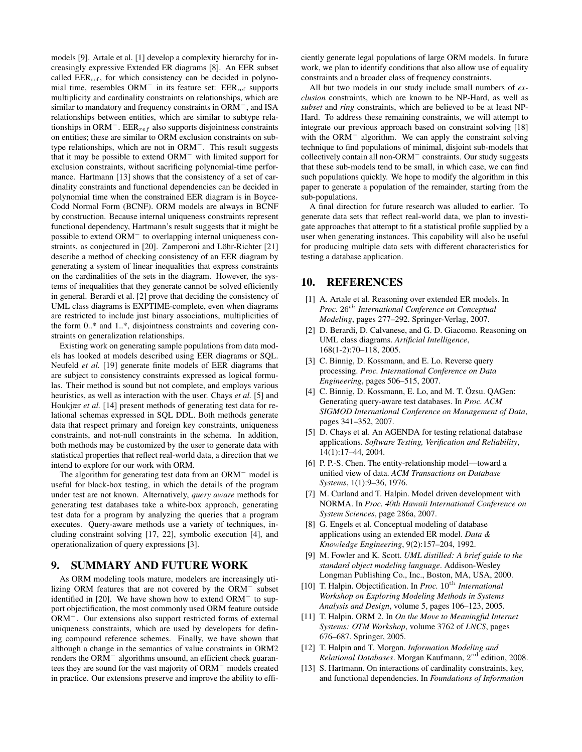models [9]. Artale et al. [1] develop a complexity hierarchy for increasingly expressive Extended ER diagrams [8]. An EER subset called  $EER_{ref}$ , for which consistency can be decided in polynomial time, resembles  $ORM^-$  in its feature set:  $EER_{ref}$  supports multiplicity and cardinality constraints on relationships, which are similar to mandatory and frequency constraints in ORM<sup>−</sup>, and ISA relationships between entities, which are similar to subtype relationships in ORM<sup>−</sup>. EER<sub>ref</sub> also supports disjointness constraints on entities; these are similar to ORM exclusion constraints on subtype relationships, which are not in ORM<sup>−</sup>. This result suggests that it may be possible to extend ORM<sup>−</sup> with limited support for exclusion constraints, without sacrificing polynomial-time performance. Hartmann [13] shows that the consistency of a set of cardinality constraints and functional dependencies can be decided in polynomial time when the constrained EER diagram is in Boyce-Codd Normal Form (BCNF). ORM models are always in BCNF by construction. Because internal uniqueness constraints represent functional dependency, Hartmann's result suggests that it might be possible to extend ORM<sup>−</sup> to overlapping internal uniqueness constraints, as conjectured in [20]. Zamperoni and Löhr-Richter [21] describe a method of checking consistency of an EER diagram by generating a system of linear inequalities that express constraints on the cardinalities of the sets in the diagram. However, the systems of inequalities that they generate cannot be solved efficiently in general. Berardi et al. [2] prove that deciding the consistency of UML class diagrams is EXPTIME-complete, even when diagrams are restricted to include just binary associations, multiplicities of the form 0..\* and 1..\*, disjointness constraints and covering constraints on generalization relationships.

Existing work on generating sample populations from data models has looked at models described using EER diagrams or SQL. Neufeld *et al.* [19] generate finite models of EER diagrams that are subject to consistency constraints expressed as logical formulas. Their method is sound but not complete, and employs various heuristics, as well as interaction with the user. Chays *et al.* [5] and Houkjær *et al.* [14] present methods of generating test data for relational schemas expressed in SQL DDL. Both methods generate data that respect primary and foreign key constraints, uniqueness constraints, and not-null constraints in the schema. In addition, both methods may be customized by the user to generate data with statistical properties that reflect real-world data, a direction that we intend to explore for our work with ORM.

The algorithm for generating test data from an ORM<sup>−</sup> model is useful for black-box testing, in which the details of the program under test are not known. Alternatively, *query aware* methods for generating test databases take a white-box approach, generating test data for a program by analyzing the queries that a program executes. Query-aware methods use a variety of techniques, including constraint solving [17, 22], symbolic execution [4], and operationalization of query expressions [3].

#### 9. SUMMARY AND FUTURE WORK

As ORM modeling tools mature, modelers are increasingly utilizing ORM features that are not covered by the ORM<sup>−</sup> subset identified in [20]. We have shown how to extend ORM<sup>−</sup> to support objectification, the most commonly used ORM feature outside ORM<sup>−</sup>. Our extensions also support restricted forms of external uniqueness constraints, which are used by developers for defining compound reference schemes. Finally, we have shown that although a change in the semantics of value constraints in ORM2 renders the ORM<sup>−</sup> algorithms unsound, an efficient check guarantees they are sound for the vast majority of ORM<sup>−</sup> models created in practice. Our extensions preserve and improve the ability to efficiently generate legal populations of large ORM models. In future work, we plan to identify conditions that also allow use of equality constraints and a broader class of frequency constraints.

All but two models in our study include small numbers of *exclusion* constraints, which are known to be NP-Hard, as well as *subset* and *ring* constraints, which are believed to be at least NP-Hard. To address these remaining constraints, we will attempt to integrate our previous approach based on constraint solving [18] with the ORM<sup>−</sup> algorithm. We can apply the constraint solving technique to find populations of minimal, disjoint sub-models that collectively contain all non-ORM<sup>−</sup> constraints. Our study suggests that these sub-models tend to be small, in which case, we can find such populations quickly. We hope to modify the algorithm in this paper to generate a population of the remainder, starting from the sub-populations.

A final direction for future research was alluded to earlier. To generate data sets that reflect real-world data, we plan to investigate approaches that attempt to fit a statistical profile supplied by a user when generating instances. This capability will also be useful for producing multiple data sets with different characteristics for testing a database application.

# 10. REFERENCES

- [1] A. Artale et al. Reasoning over extended ER models. In *Proc.* 26th *International Conference on Conceptual Modeling*, pages 277–292. Springer-Verlag, 2007.
- [2] D. Berardi, D. Calvanese, and G. D. Giacomo. Reasoning on UML class diagrams. *Artificial Intelligence*, 168(1-2):70–118, 2005.
- [3] C. Binnig, D. Kossmann, and E. Lo. Reverse query processing. *Proc. International Conference on Data Engineering*, pages 506–515, 2007.
- [4] C. Binnig, D. Kossmann, E. Lo, and M. T. Özsu. QAGen: Generating query-aware test databases. In *Proc. ACM SIGMOD International Conference on Management of Data*, pages 341–352, 2007.
- [5] D. Chays et al. An AGENDA for testing relational database applications. *Software Testing, Verification and Reliability*, 14(1):17–44, 2004.
- [6] P. P.-S. Chen. The entity-relationship model—toward a unified view of data. *ACM Transactions on Database Systems*, 1(1):9–36, 1976.
- [7] M. Curland and T. Halpin. Model driven development with NORMA. In *Proc. 40th Hawaii International Conference on System Sciences*, page 286a, 2007.
- [8] G. Engels et al. Conceptual modeling of database applications using an extended ER model. *Data & Knowledge Engineering*, 9(2):157–204, 1992.
- [9] M. Fowler and K. Scott. *UML distilled: A brief guide to the standard object modeling language*. Addison-Wesley Longman Publishing Co., Inc., Boston, MA, USA, 2000.
- [10] T. Halpin. Objectification. In *Proc.* 10<sup>th</sup> *International Workshop on Exploring Modeling Methods in Systems Analysis and Design*, volume 5, pages 106–123, 2005.
- [11] T. Halpin. ORM 2. In *On the Move to Meaningful Internet Systems: OTM Workshop*, volume 3762 of *LNCS*, pages 676–687. Springer, 2005.
- [12] T. Halpin and T. Morgan. *Information Modeling and* Relational Databases. Morgan Kaufmann, 2<sup>nd</sup> edition, 2008.
- [13] S. Hartmann. On interactions of cardinality constraints, key, and functional dependencies. In *Foundations of Information*